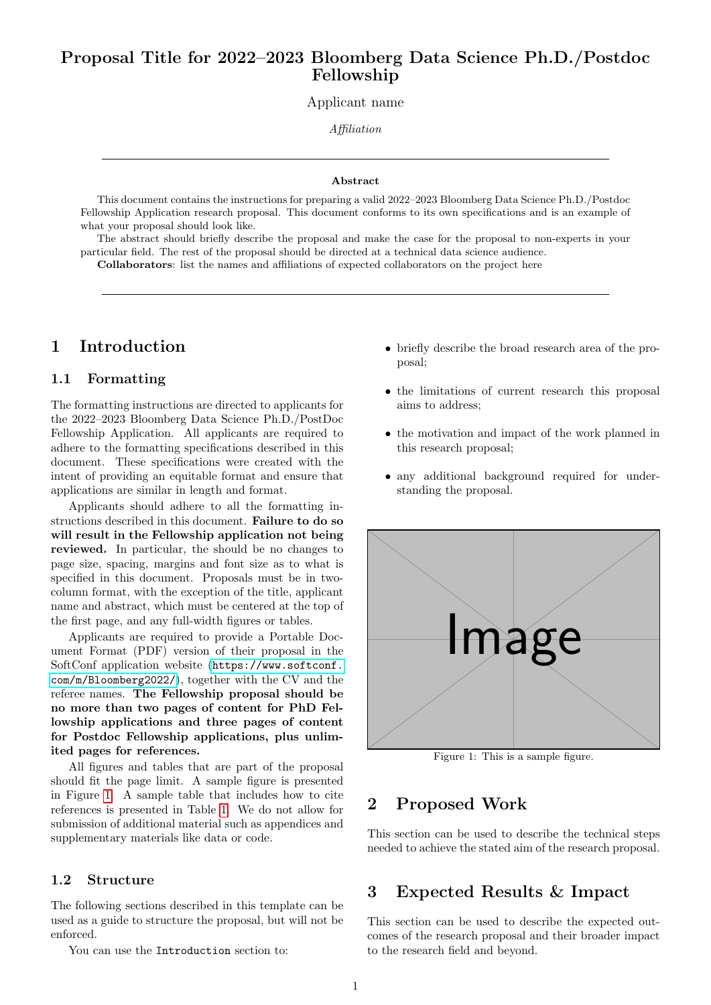## Proposal Title for 2022–2023 Bloomberg Data Science Ph.D./Postdoc Fellowship

Applicant name

Affiliation

#### Abstract

This document contains the instructions for preparing a valid 2022–2023 Bloomberg Data Science Ph.D./Postdoc Fellowship Application research proposal. This document conforms to its own specifications and is an example of what your proposal should look like.

The abstract should briefly describe the proposal and make the case for the proposal to non-experts in your particular field. The rest of the proposal should be directed at a technical data science audience.

Collaborators: list the names and affiliations of expected collaborators on the project here

## 1 Introduction

#### 1.1 Formatting

The formatting instructions are directed to applicants for the 2022–2023 Bloomberg Data Science Ph.D./PostDoc Fellowship Application. All applicants are required to adhere to the formatting specifications described in this document. These specifications were created with the intent of providing an equitable format and ensure that applications are similar in length and format.

Applicants should adhere to all the formatting instructions described in this document. Failure to do so will result in the Fellowship application not being reviewed. In particular, the should be no changes to page size, spacing, margins and font size as to what is specified in this document. Proposals must be in twocolumn format, with the exception of the title, applicant name and abstract, which must be centered at the top of the first page, and any full-width figures or tables.

Applicants are required to provide a Portable Document Format (PDF) version of their proposal in the SoftConf application website ([https://www.softconf.](https://www.softconf.com/m/Bloomberg2022/) [com/m/Bloomberg2022/](https://www.softconf.com/m/Bloomberg2022/)), together with the CV and the referee names. The Fellowship proposal should be no more than two pages of content for PhD Fellowship applications and three pages of content for Postdoc Fellowship applications, plus unlimited pages for references.

All figures and tables that are part of the proposal should fit the page limit. A sample figure is presented in Figure [1.](#page-0-0) A sample table that includes how to cite references is presented in Table [1.](#page-1-0) We do not allow for submission of additional material such as appendices and supplementary materials like data or code.

#### 1.2 Structure

The following sections described in this template can be used as a guide to structure the proposal, but will not be enforced.

You can use the Introduction section to:

- briefly describe the broad research area of the proposal;
- the limitations of current research this proposal aims to address;
- the motivation and impact of the work planned in this research proposal;
- any additional background required for understanding the proposal.

<span id="page-0-0"></span>

Figure 1: This is a sample figure.

## 2 Proposed Work

This section can be used to describe the technical steps needed to achieve the stated aim of the research proposal.

### 3 Expected Results & Impact

This section can be used to describe the expected outcomes of the research proposal and their broader impact to the research field and beyond.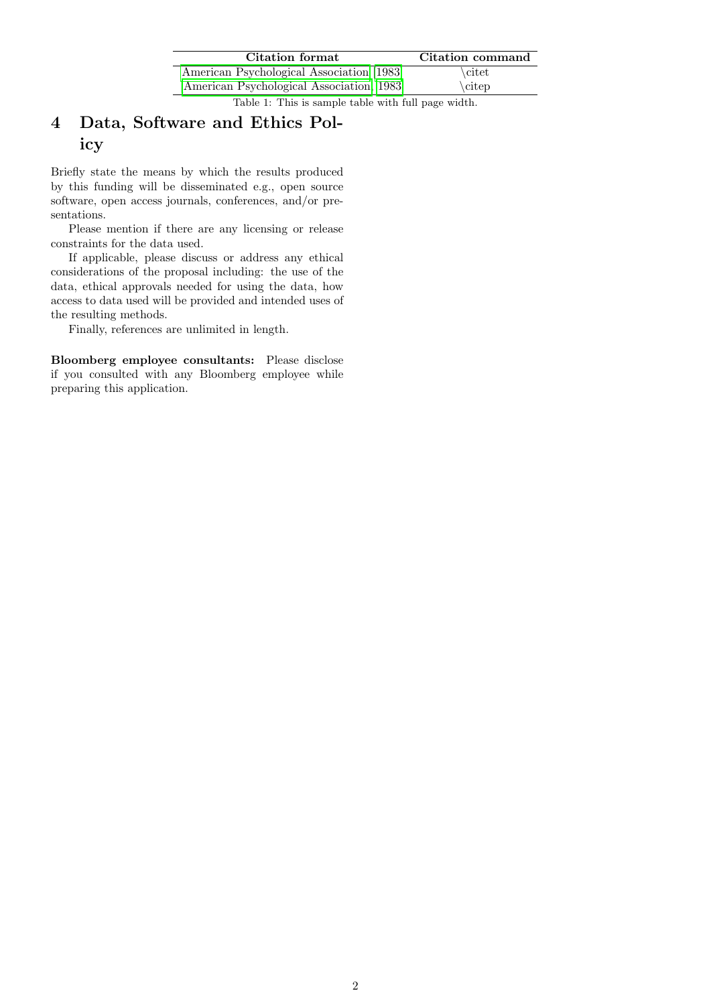| Citation format                            | Citation command |
|--------------------------------------------|------------------|
| American Psychological Association [1983]  | \citet           |
| [American Psychological Association, 1983] | \citep\\cite     |
|                                            |                  |

Table 1: This is sample table with full page width.

## <span id="page-1-0"></span>4 Data, Software and Ethics Policy

Briefly state the means by which the results produced by this funding will be disseminated e.g., open source software, open access journals, conferences, and/or presentations.

Please mention if there are any licensing or release constraints for the data used.

If applicable, please discuss or address any ethical considerations of the proposal including: the use of the data, ethical approvals needed for using the data, how access to data used will be provided and intended uses of the resulting methods.

Finally, references are unlimited in length.

Bloomberg employee consultants: Please disclose if you consulted with any Bloomberg employee while preparing this application.